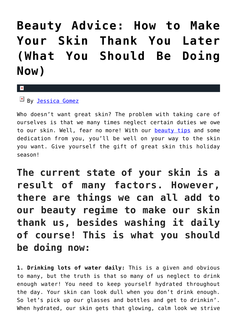## **[Beauty Advice: How to Make](https://cupidspulse.com/127446/beauty-advice-make-skin-thank-you/) [Your Skin Thank You Later](https://cupidspulse.com/127446/beauty-advice-make-skin-thank-you/) [\(What You Should Be Doing](https://cupidspulse.com/127446/beauty-advice-make-skin-thank-you/) [Now\)](https://cupidspulse.com/127446/beauty-advice-make-skin-thank-you/)**

 $\mathbf{R}$ 

 $By$  [Jessica Gomez](http://cupidspulse.com/122405/jessica-gomez/)

Who doesn't want great skin? The problem with taking care of ourselves is that we many times neglect certain duties we owe to our skin. Well, fear no more! With our **beauty tips** and some dedication from you, you'll be well on your way to the skin you want. Give yourself the gift of great skin this holiday season!

**The current state of your skin is a result of many factors. However, there are things we can all add to our beauty regime to make our skin thank us, besides washing it daily of course! This is what you should be doing now:**

**1. Drinking lots of water daily:** This is a given and obvious to many, but the truth is that so many of us neglect to drink enough water! You need to keep yourself hydrated throughout the day. Your skin can look dull when you don't drink enough. So let's pick up our glasses and bottles and get to drinkin'. When hydrated, our skin gets that glowing, calm look we strive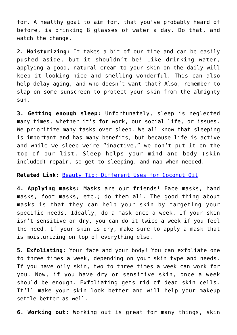for. A healthy goal to aim for, that you've probably heard of before, is drinking 8 glasses of water a day. Do that, and watch the change.

**2. Moisturizing:** It takes a bit of our time and can be easily pushed aside, but it shouldn't be! Like drinking water, applying a good, natural cream to your skin on the daily will keep it looking nice and smelling wonderful. This can also help delay aging, and who doesn't want that? Also, remember to slap on some sunscreen to protect your skin from the almighty sun.

**3. Getting enough sleep:** Unfortunately, sleep is neglected many times, whether it's for work, our social life, or issues. We prioritize many tasks over sleep. We all know that sleeping is important and has many benefits, but because life is active and while we sleep we're "inactive," we don't put it on the top of our list. Sleep helps your mind and body (skin included) repair, so get to sleeping, and nap when needed.

**Related Link:** [Beauty Tip: Different Uses for Coconut Oil](http://cupidspulse.com/126361/beauty-tip-different-uses-coconut-oil/)

**4. Applying masks:** Masks are our friends! Face masks, hand masks, foot masks, etc.; do them all. The good thing about masks is that they can help your skin by targeting your specific needs. Ideally, do a mask once a week. If your skin isn't sensitive or dry, you can do it twice a week if you feel the need. If your skin is dry, make sure to apply a mask that is moisturizing on top of everything else.

**5. Exfoliating:** Your face and your body! You can exfoliate one to three times a week, depending on your skin type and needs. If you have oily skin, two to three times a week can work for you. Now, if you have dry or sensitive skin, once a week should be enough. Exfoliating gets rid of dead skin cells. It'll make your skin look better and will help your makeup settle better as well.

**6. Working out:** Working out is great for many things, skin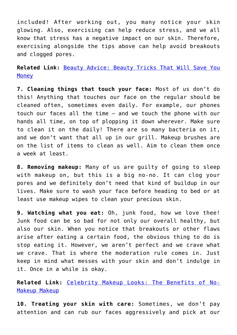included! After working out, you many notice your skin glowing. Also, exercising can help reduce stress, and we all know that stress has a negative impact on our skin. Therefore, exercising alongside the tips above can help avoid breakouts and clogged pores.

**Related Link:** [Beauty Advice: Beauty Tricks That Will Save You](http://cupidspulse.com/126170/beauty-advice-beauty-tricks-save-money/) **[Money](http://cupidspulse.com/126170/beauty-advice-beauty-tricks-save-money/)** 

**7. Cleaning things that touch your face:** Most of us don't do this! Anything that touches our face on the regular should be cleaned often, sometimes even daily. For example, our phones touch our faces all the time – and we touch the phone with our hands all time, on top of plopping it down wherever. Make sure to clean it on the daily! There are so many bacteria on it, and we don't want that all up in our grill. Makeup brushes are on the list of items to clean as well. Aim to clean them once a week at least.

**8. Removing makeup:** Many of us are guilty of going to sleep with makeup on, but this is a big no-no. It can clog your pores and we definitely don't need that kind of buildup in our lives. Make sure to wash your face before heading to bed or at least use makeup wipes to clean your precious skin.

**9. Watching what you eat:** Oh, junk food, how we love thee! Junk food can be so bad for not only our overall healthy, but also our skin. When you notice that breakouts or other flaws arise after eating a certain food, the obvious thing to do is stop eating it. However, we aren't perfect and we crave what we crave. That is where the moderation rule comes in. Just keep in mind what messes with your skin and don't indulge in it. Once in a while is okay.

**Related Link:** [Celebrity Makeup Looks: The Benefits of No-](http://cupidspulse.com/125315/celebrity-makeup-looks-no-makeup-makeup/)[Makeup Makeup](http://cupidspulse.com/125315/celebrity-makeup-looks-no-makeup-makeup/)

**10. Treating your skin with care:** Sometimes, we don't pay attention and can rub our faces aggressively and pick at our